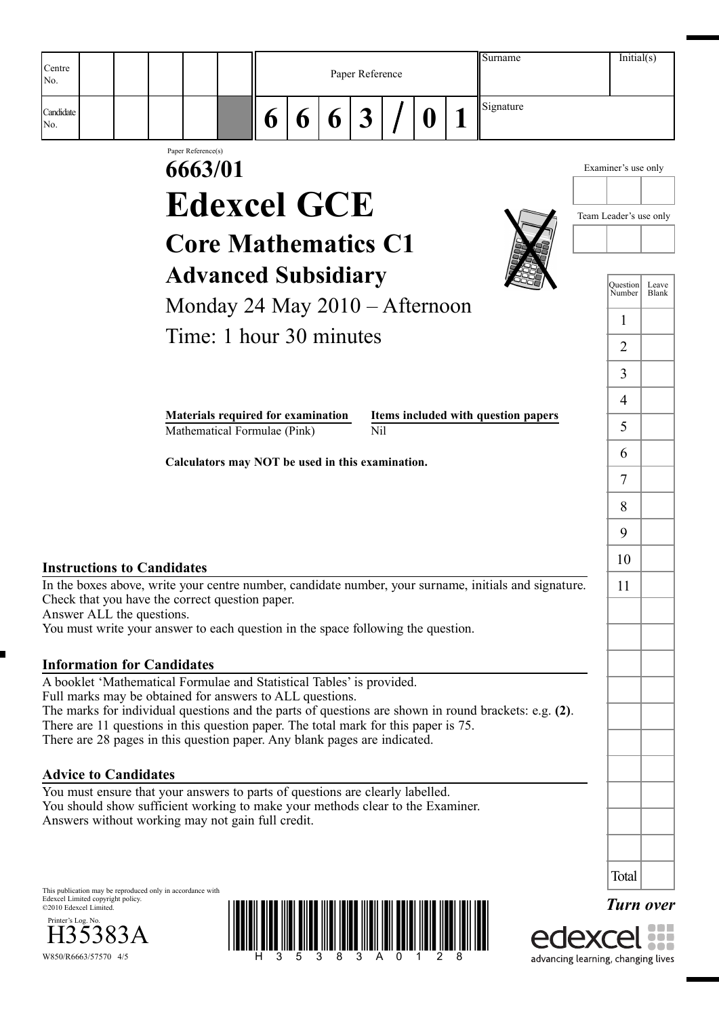|                                                                                                                                                                                                                                                                                                                                                                                                                                                                                                                                                                                                   |                    |                                                                                                                                                                                                                                                                                         |        |   |                 |   | Surname                                                                                                 |                                                                                                                                         | Initial(s)       |
|---------------------------------------------------------------------------------------------------------------------------------------------------------------------------------------------------------------------------------------------------------------------------------------------------------------------------------------------------------------------------------------------------------------------------------------------------------------------------------------------------------------------------------------------------------------------------------------------------|--------------------|-----------------------------------------------------------------------------------------------------------------------------------------------------------------------------------------------------------------------------------------------------------------------------------------|--------|---|-----------------|---|---------------------------------------------------------------------------------------------------------|-----------------------------------------------------------------------------------------------------------------------------------------|------------------|
| Centre<br>No.                                                                                                                                                                                                                                                                                                                                                                                                                                                                                                                                                                                     |                    |                                                                                                                                                                                                                                                                                         |        |   | Paper Reference |   |                                                                                                         |                                                                                                                                         |                  |
| Candidate<br>No.                                                                                                                                                                                                                                                                                                                                                                                                                                                                                                                                                                                  |                    |                                                                                                                                                                                                                                                                                         | 6<br>6 | 6 | 3               | Ü | Signature                                                                                               |                                                                                                                                         |                  |
|                                                                                                                                                                                                                                                                                                                                                                                                                                                                                                                                                                                                   | Paper Reference(s) | 6663/01<br><b>Edexcel GCE</b><br><b>Core Mathematics C1</b><br><b>Advanced Subsidiary</b><br>Monday 24 May 2010 – Afternoon<br>Time: 1 hour 30 minutes<br><b>Materials required for examination</b><br>Mathematical Formulae (Pink)<br>Calculators may NOT be used in this examination. |        |   | N <sub>i</sub>  |   | Items included with question papers                                                                     | Examiner's use only<br>Team Leader's use only<br><b>Question</b><br>Number<br>1<br>$\overline{2}$<br>3<br>$\overline{4}$<br>5<br>6<br>7 | Leave<br>Blank   |
| <b>Instructions to Candidates</b><br>Check that you have the correct question paper.<br>Answer ALL the questions.<br>You must write your answer to each question in the space following the question.                                                                                                                                                                                                                                                                                                                                                                                             |                    |                                                                                                                                                                                                                                                                                         |        |   |                 |   | In the boxes above, write your centre number, candidate number, your surname, initials and signature.   | 8<br>9<br>10<br>11                                                                                                                      |                  |
| <b>Information for Candidates</b><br>A booklet 'Mathematical Formulae and Statistical Tables' is provided.<br>Full marks may be obtained for answers to ALL questions.<br>There are 11 questions in this question paper. The total mark for this paper is 75.<br>There are 28 pages in this question paper. Any blank pages are indicated.<br><b>Advice to Candidates</b><br>You must ensure that your answers to parts of questions are clearly labelled.<br>You should show sufficient working to make your methods clear to the Examiner.<br>Answers without working may not gain full credit. |                    |                                                                                                                                                                                                                                                                                         |        |   |                 |   | The marks for individual questions and the parts of questions are shown in round brackets: e.g. $(2)$ . |                                                                                                                                         |                  |
| This publication may be reproduced only in accordance with<br>Edexcel Limited copyright policy.<br>©2010 Edexcel Limited.<br>Printer's Log. No.<br>383A<br>W850/R6663/57570 4/5                                                                                                                                                                                                                                                                                                                                                                                                                   |                    |                                                                                                                                                                                                                                                                                         |        |   |                 |   |                                                                                                         | Total<br>advancing learning, changing lives                                                                                             | <b>Turn over</b> |

advancing learning, changing lives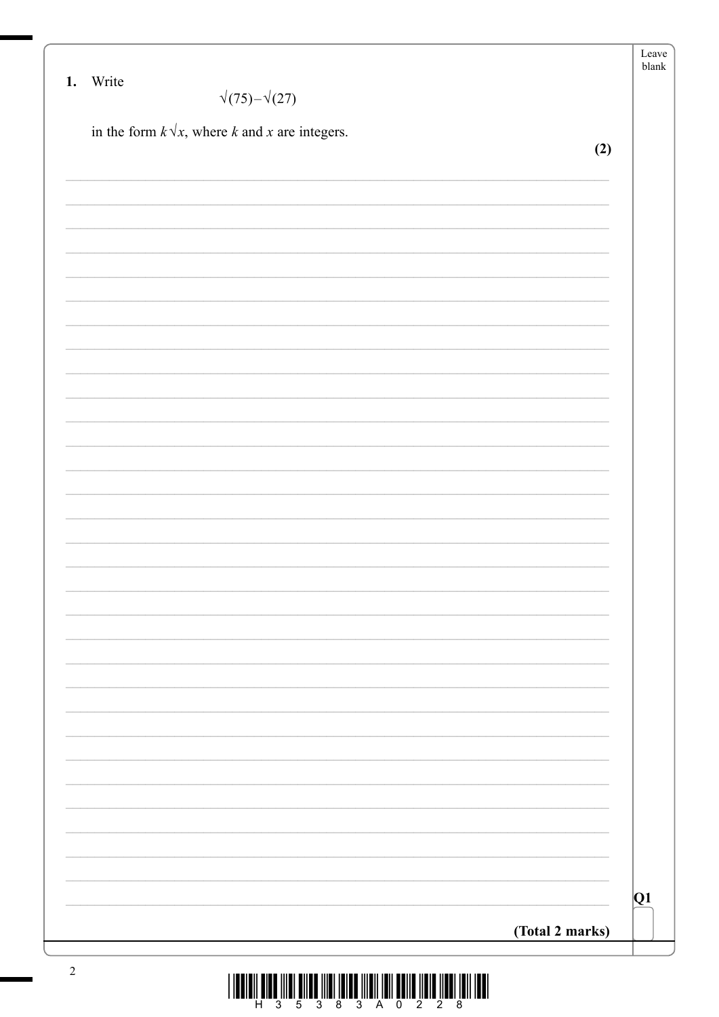|          |                                                       | Leave<br>${\tt blank}$ |
|----------|-------------------------------------------------------|------------------------|
| 1. Write | $\sqrt{(75)-1}$ (27)                                  |                        |
|          | in the form $k\sqrt{x}$ , where k and x are integers. |                        |
|          |                                                       | (2)                    |
|          |                                                       |                        |
|          |                                                       |                        |
|          |                                                       |                        |
|          |                                                       |                        |
|          |                                                       |                        |
|          |                                                       |                        |
|          |                                                       |                        |
|          |                                                       |                        |
|          |                                                       |                        |
|          |                                                       |                        |
|          |                                                       |                        |
|          |                                                       |                        |
|          |                                                       |                        |
|          |                                                       |                        |
|          |                                                       |                        |
|          |                                                       |                        |
|          |                                                       |                        |
|          |                                                       |                        |
|          |                                                       |                        |
|          |                                                       |                        |
|          |                                                       |                        |
|          |                                                       |                        |
|          |                                                       |                        |
|          |                                                       |                        |
|          |                                                       |                        |
|          |                                                       |                        |
|          |                                                       | Q1                     |
|          |                                                       | (Total 2 marks)        |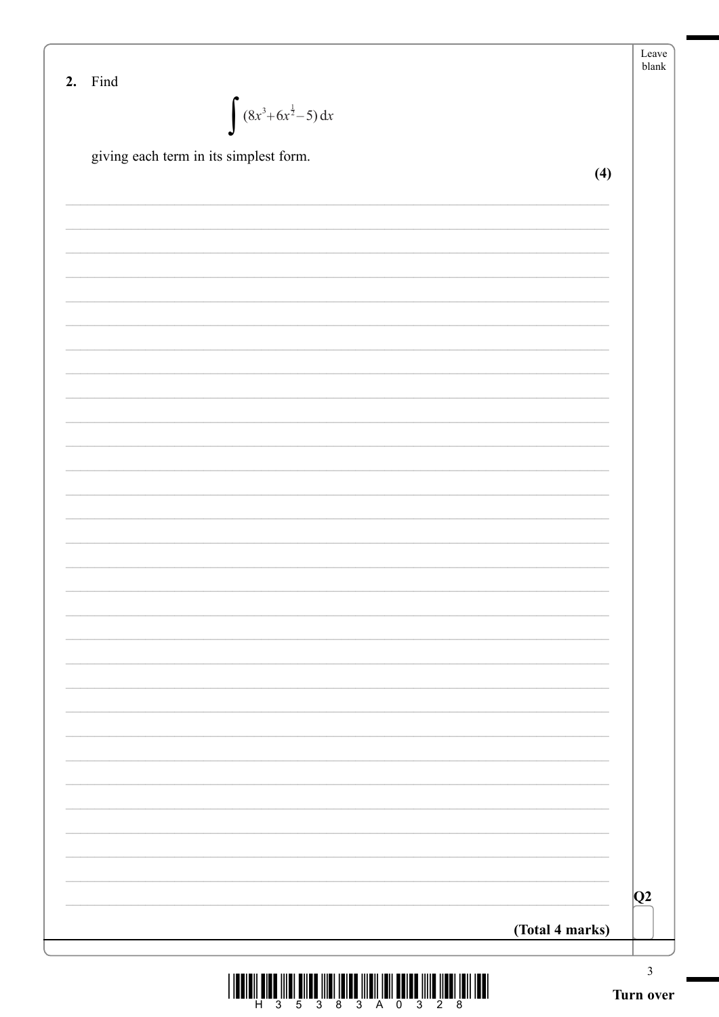| 2. Find                                                                                          |                 | Leave<br>blank |
|--------------------------------------------------------------------------------------------------|-----------------|----------------|
|                                                                                                  |                 |                |
| $\int (8x^3+6x^{\frac{1}{2}}-5) dx$                                                              |                 |                |
| giving each term in its simplest form.                                                           |                 |                |
|                                                                                                  | (4)             |                |
|                                                                                                  |                 |                |
|                                                                                                  |                 |                |
|                                                                                                  |                 |                |
|                                                                                                  |                 |                |
|                                                                                                  |                 |                |
|                                                                                                  |                 |                |
|                                                                                                  |                 |                |
|                                                                                                  |                 |                |
|                                                                                                  |                 |                |
|                                                                                                  |                 |                |
|                                                                                                  |                 |                |
|                                                                                                  |                 |                |
|                                                                                                  |                 |                |
|                                                                                                  |                 |                |
|                                                                                                  |                 |                |
|                                                                                                  |                 |                |
|                                                                                                  |                 |                |
|                                                                                                  |                 |                |
|                                                                                                  |                 |                |
|                                                                                                  |                 |                |
|                                                                                                  |                 |                |
|                                                                                                  |                 |                |
|                                                                                                  |                 |                |
|                                                                                                  |                 |                |
|                                                                                                  |                 | Q2             |
|                                                                                                  | (Total 4 marks) |                |
|                                                                                                  |                 |                |
| <u>I INDIANI WINDI ILINI MILINDI ILINI IMINDI ILINI IMILI MWINDI ILILINI ILINI IMILI IMILI I</u> |                 | $\mathfrak{Z}$ |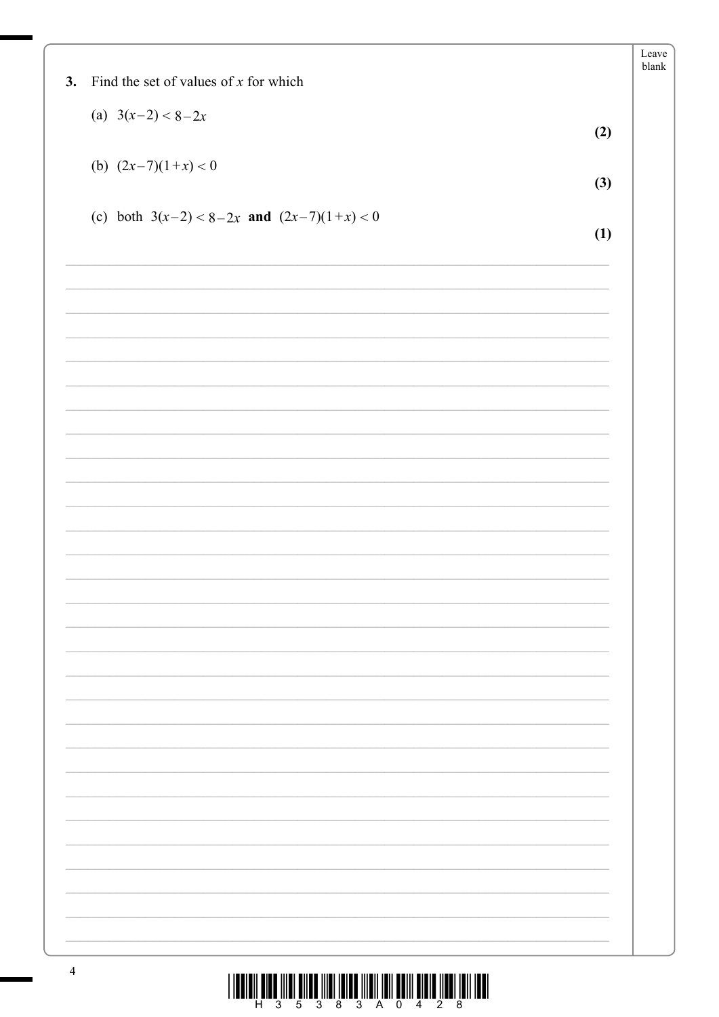|                                                |     | Leave<br>blank |
|------------------------------------------------|-----|----------------|
| Find the set of values of $x$ for which<br>3.  |     |                |
| (a) $3(x-2) < 8-2x$                            |     |                |
|                                                | (2) |                |
| (b) $(2x-7)(1+x) < 0$                          |     |                |
|                                                | (3) |                |
| (c) both $3(x-2) < 8-2x$ and $(2x-7)(1+x) < 0$ |     |                |
|                                                | (1) |                |
|                                                |     |                |
|                                                |     |                |
|                                                |     |                |
|                                                |     |                |
|                                                |     |                |
|                                                |     |                |
|                                                |     |                |
|                                                |     |                |
|                                                |     |                |
|                                                |     |                |
|                                                |     |                |
|                                                |     |                |
|                                                |     |                |
|                                                |     |                |
|                                                |     |                |
|                                                |     |                |
|                                                |     |                |
|                                                |     |                |
|                                                |     |                |
|                                                |     |                |
|                                                |     |                |
|                                                |     |                |
|                                                |     |                |
|                                                |     |                |
|                                                |     |                |
|                                                |     |                |
|                                                |     |                |
|                                                |     |                |
|                                                |     |                |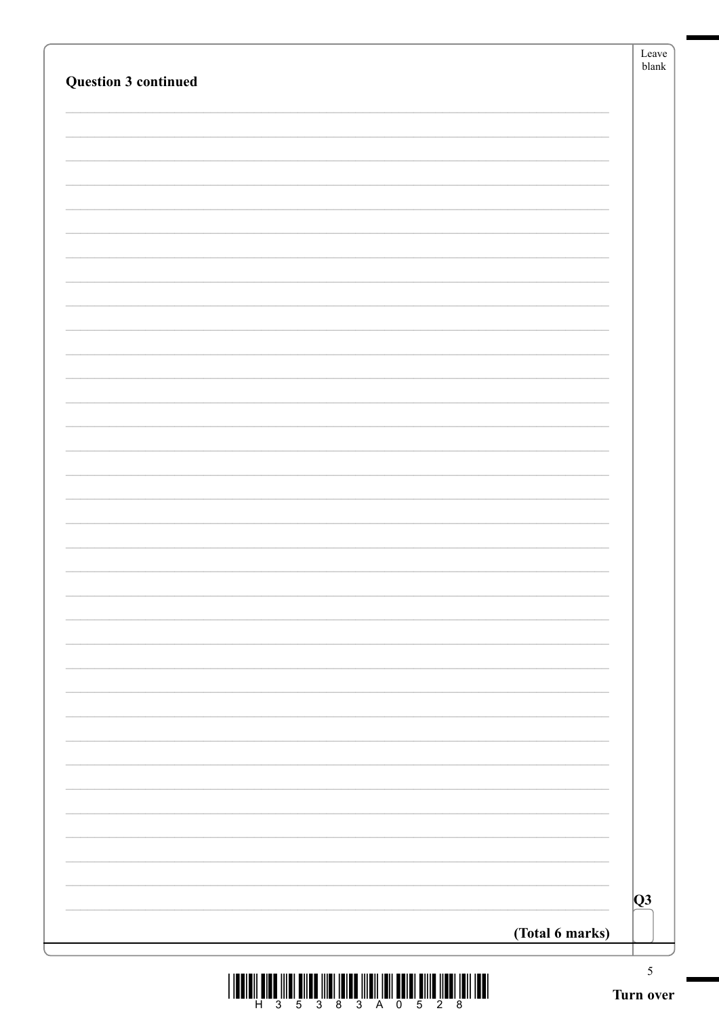|                 | Q3 |
|-----------------|----|
| (Total 6 marks) |    |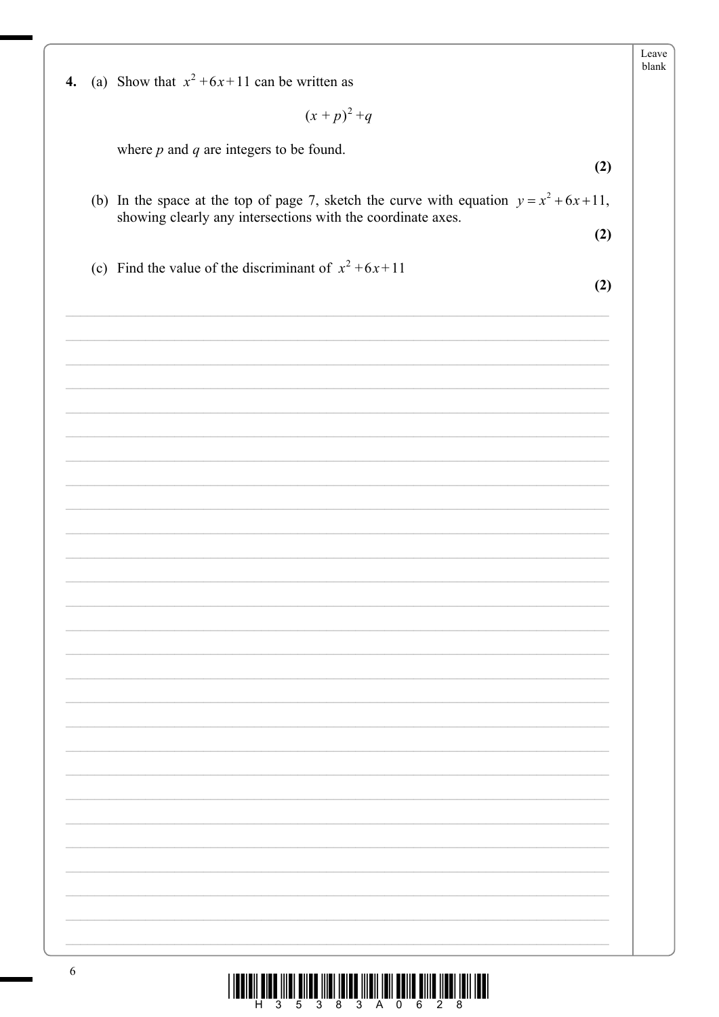| 4. | (a) Show that $x^2+6x+11$ can be written as                                                                                                                |  |
|----|------------------------------------------------------------------------------------------------------------------------------------------------------------|--|
|    | $(x+p)^2+q$                                                                                                                                                |  |
|    | where $p$ and $q$ are integers to be found.                                                                                                                |  |
|    | (2)                                                                                                                                                        |  |
|    | (b) In the space at the top of page 7, sketch the curve with equation $y = x^2 + 6x + 11$ ,<br>showing clearly any intersections with the coordinate axes. |  |
|    | (2)                                                                                                                                                        |  |
|    | (c) Find the value of the discriminant of $x^2 + 6x + 11$                                                                                                  |  |
|    | (2)                                                                                                                                                        |  |
|    |                                                                                                                                                            |  |
|    |                                                                                                                                                            |  |
|    |                                                                                                                                                            |  |
|    |                                                                                                                                                            |  |
|    |                                                                                                                                                            |  |
|    |                                                                                                                                                            |  |
|    |                                                                                                                                                            |  |
|    |                                                                                                                                                            |  |
|    |                                                                                                                                                            |  |
|    |                                                                                                                                                            |  |
|    |                                                                                                                                                            |  |
|    |                                                                                                                                                            |  |
|    |                                                                                                                                                            |  |
|    |                                                                                                                                                            |  |
|    |                                                                                                                                                            |  |
|    |                                                                                                                                                            |  |
|    |                                                                                                                                                            |  |
|    |                                                                                                                                                            |  |
|    |                                                                                                                                                            |  |
|    |                                                                                                                                                            |  |
|    |                                                                                                                                                            |  |
|    |                                                                                                                                                            |  |
|    |                                                                                                                                                            |  |
|    |                                                                                                                                                            |  |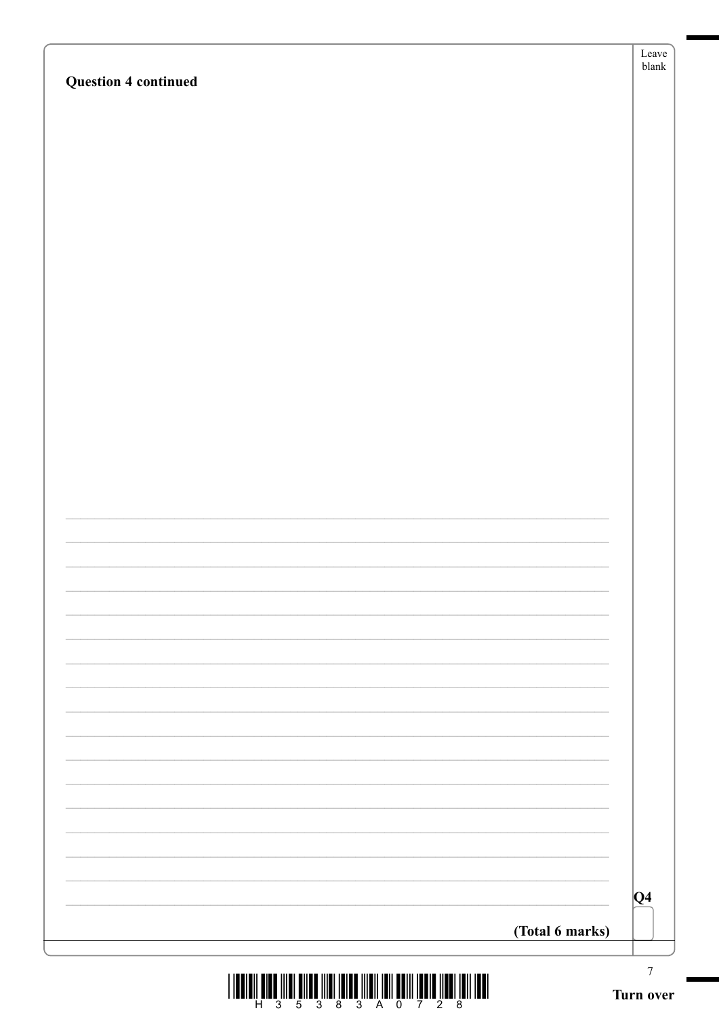| $\boldsymbol{7}$<br>Turn ov |
|-----------------------------|
| (Total 6 marks)             |
| $ Q_4 $                     |
|                             |
|                             |
|                             |
|                             |
|                             |
|                             |
|                             |
|                             |
|                             |
|                             |
|                             |
|                             |
|                             |
|                             |
|                             |
|                             |
|                             |

**Question 4 continued** 

Leave blank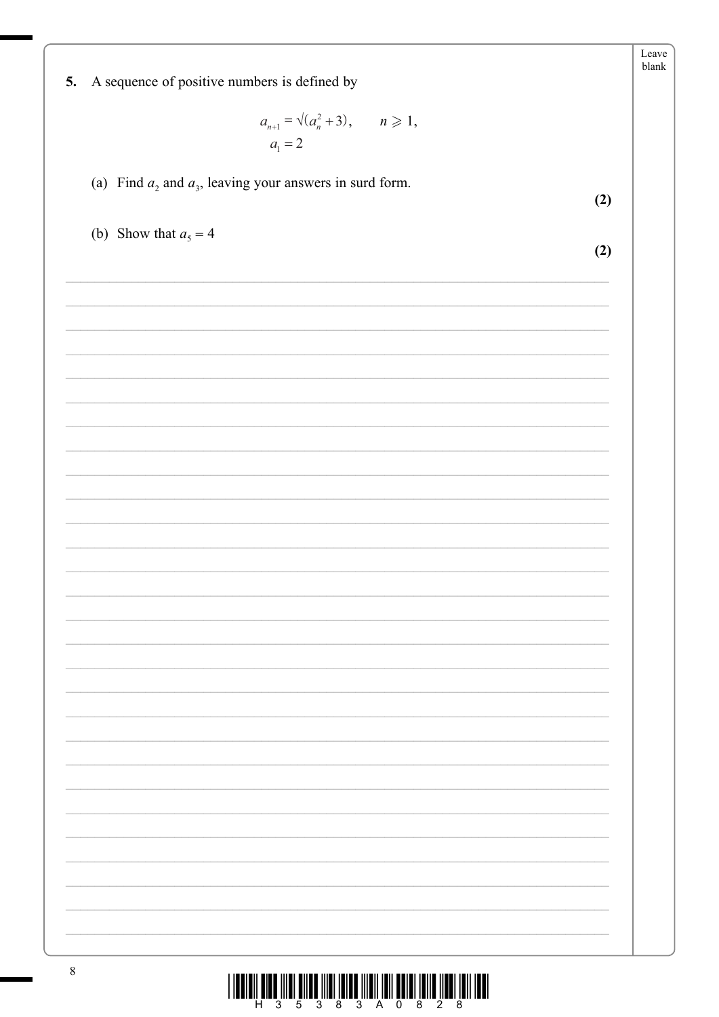|                                                                                                                       | Leave<br>blank |
|-----------------------------------------------------------------------------------------------------------------------|----------------|
| 5. A sequence of positive numbers is defined by                                                                       |                |
|                                                                                                                       |                |
| $a_{n+1} = \sqrt{(a_n^2 + 3)}, \quad n \ge 1,$                                                                        |                |
| $a_1 = 2$                                                                                                             |                |
|                                                                                                                       |                |
| (a) Find $a_2$ and $a_3$ , leaving your answers in surd form.<br>(2)                                                  |                |
|                                                                                                                       |                |
| (b) Show that $a_5 = 4$                                                                                               |                |
| (2)                                                                                                                   |                |
|                                                                                                                       |                |
|                                                                                                                       |                |
|                                                                                                                       |                |
|                                                                                                                       |                |
| <u> 1989 - Johann John Stoff, deutscher Stoffen und der Stoffen und der Stoffen und der Stoffen und der Stoffen u</u> |                |
|                                                                                                                       |                |
|                                                                                                                       |                |
| <u> 1989 - Andrea Santa Andrea Andrea Andrea Andrea Andrea Andrea Andrea Andrea Andrea Andrea Andrea Andrea Andr</u>  |                |
|                                                                                                                       |                |
|                                                                                                                       |                |
|                                                                                                                       |                |
| <u> 1989 - Johann Stoff, amerikansk politiker (* 1908)</u>                                                            |                |
|                                                                                                                       |                |
|                                                                                                                       |                |
|                                                                                                                       |                |
|                                                                                                                       |                |
|                                                                                                                       |                |
|                                                                                                                       |                |
|                                                                                                                       |                |
|                                                                                                                       |                |
|                                                                                                                       |                |
|                                                                                                                       |                |
|                                                                                                                       |                |
|                                                                                                                       |                |
|                                                                                                                       |                |
|                                                                                                                       |                |
|                                                                                                                       |                |
|                                                                                                                       |                |
|                                                                                                                       |                |
|                                                                                                                       |                |
| $\mathbf{Q}$                                                                                                          |                |

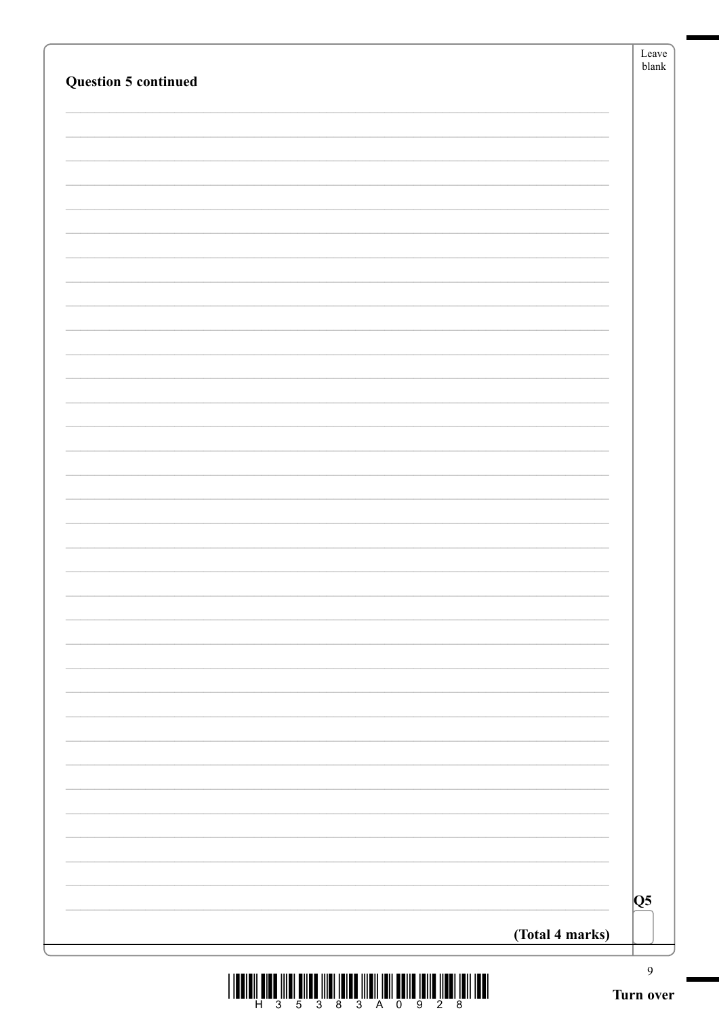|                             | Leave<br>blank            |
|-----------------------------|---------------------------|
| <b>Question 5 continued</b> |                           |
|                             |                           |
|                             |                           |
|                             |                           |
|                             |                           |
|                             |                           |
|                             |                           |
|                             |                           |
|                             |                           |
|                             |                           |
|                             |                           |
|                             |                           |
|                             |                           |
|                             |                           |
|                             |                           |
|                             |                           |
|                             |                           |
|                             |                           |
|                             |                           |
|                             |                           |
|                             |                           |
|                             |                           |
|                             |                           |
|                             |                           |
|                             |                           |
|                             | Q5                        |
| (Total 4 marks)             |                           |
|                             | $\mathbf{9}$<br>Turn over |

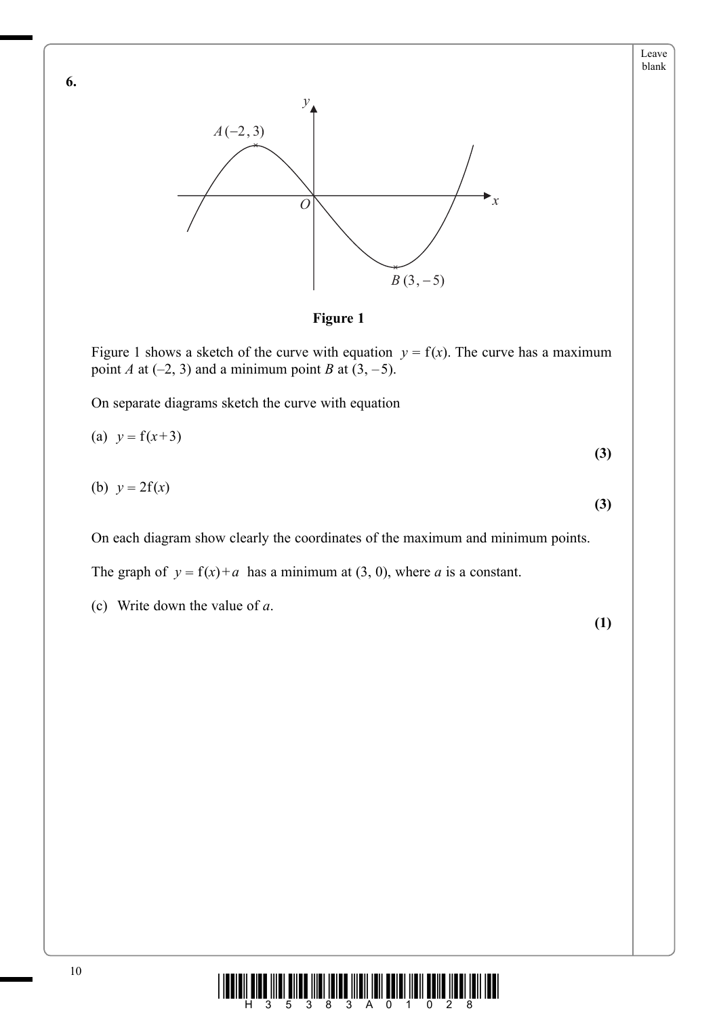



**Figure 1**

Figure 1 shows a sketch of the curve with equation  $y = f(x)$ . The curve has a maximum point *A* at  $(-2, 3)$  and a minimum point *B* at  $(3, -5)$ .

On separate diagrams sketch the curve with equation

(a) 
$$
y = f(x+3)
$$
  
\n(b)  $y = 2f(x)$  (3)

On each diagram show clearly the coordinates of the maximum and minimum points.

The graph of  $y = f(x) + a$  has a minimum at (3, 0), where *a* is a constant.

(c) Write down the value of *a*.

**(1)**

**(3)**

Leave blank

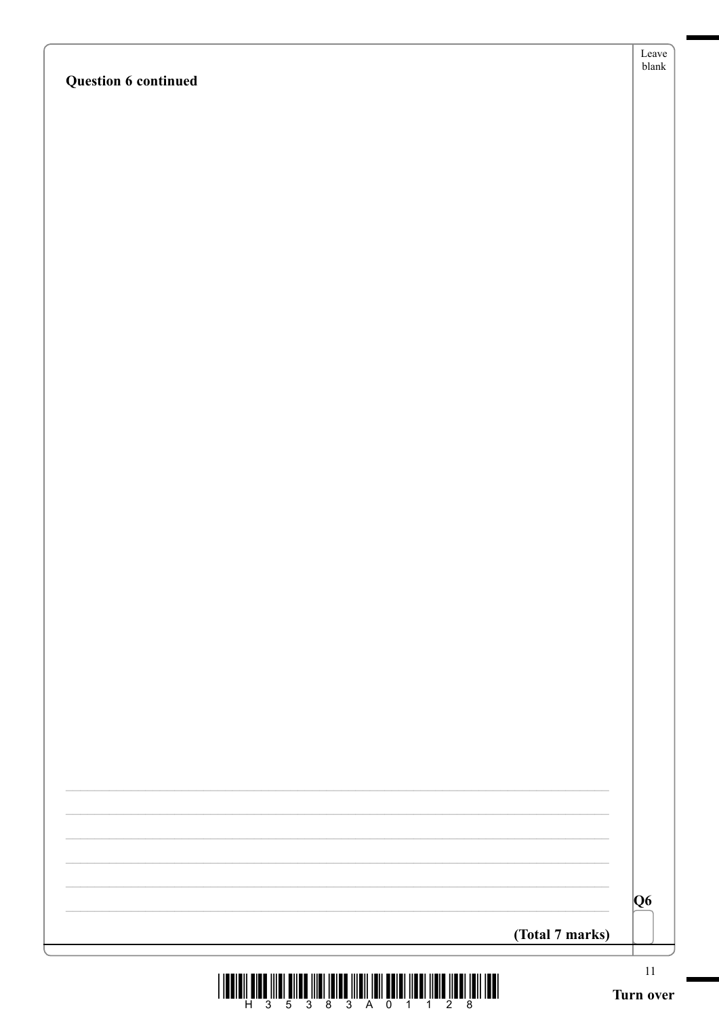|  |  | <b>Question 6 continued</b> |
|--|--|-----------------------------|
|--|--|-----------------------------|

| Leave |
|-------|
| blank |

|  |  |  | 5 3 8 3 A 0 1 1 |  |  |  |
|--|--|--|-----------------|--|--|--|

 $\overline{\overline{\mathbf{Q6}}}$ 

(Total 7 marks)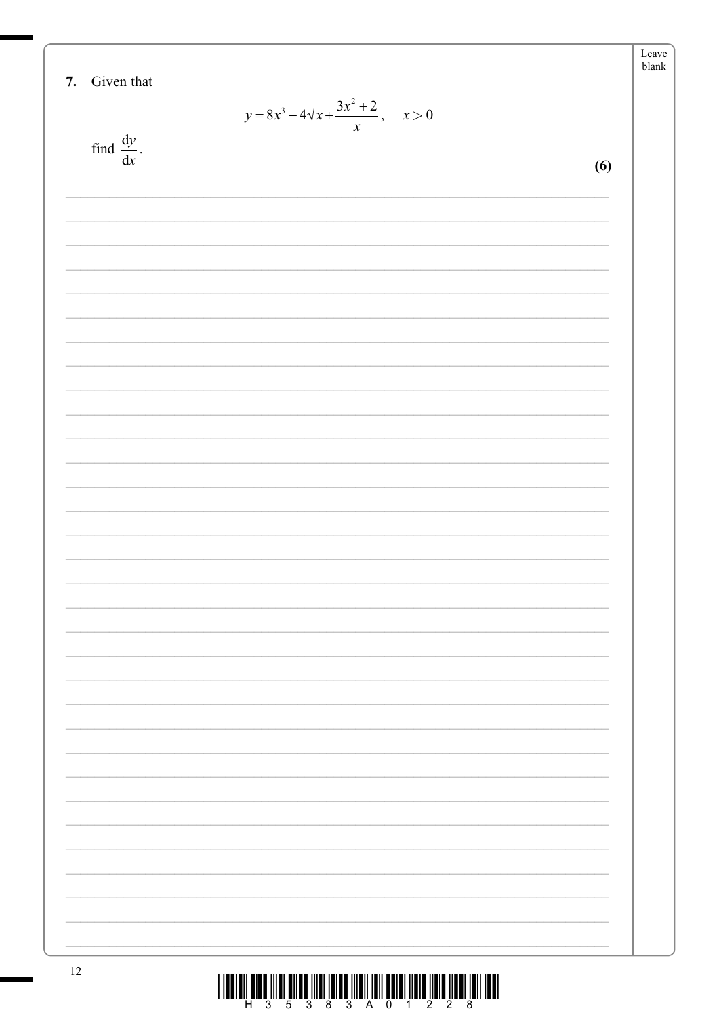7. Given that  
\n
$$
y = 8x^2 - 4\sqrt{x} + \frac{3x^2 + 2}{x}, \quad x > 0
$$
\nfind  $\frac{dy}{dx}$ .  
\n(6)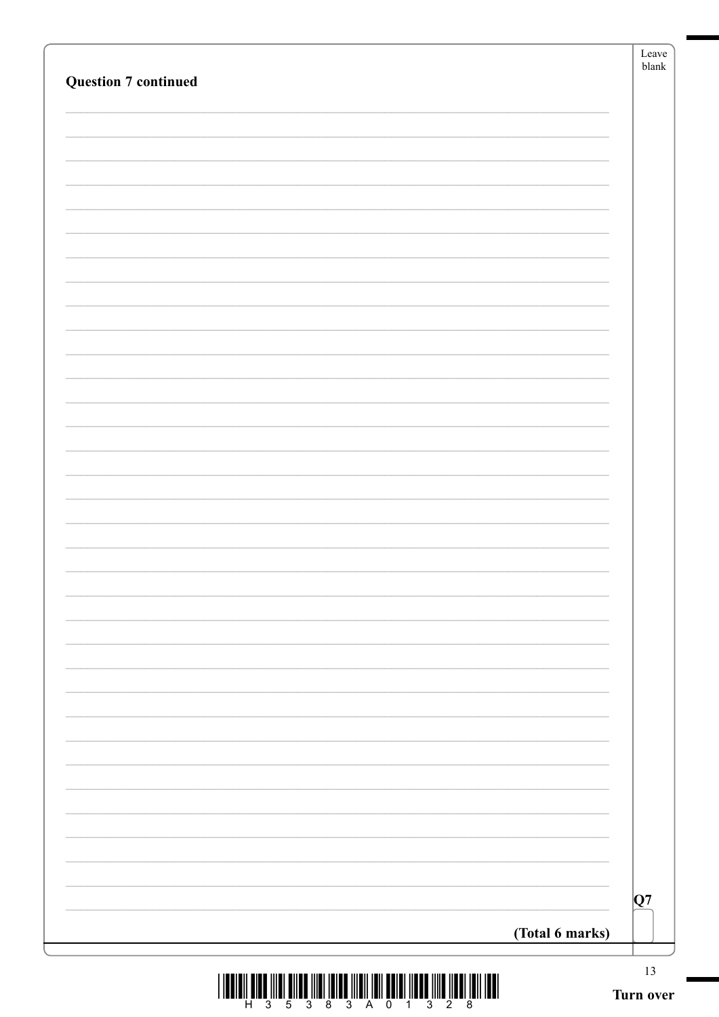| <b>Question 7 continued</b> |                 | Leave<br>$\ensuremath{\textrm{blank}}$ |
|-----------------------------|-----------------|----------------------------------------|
|                             |                 |                                        |
|                             |                 |                                        |
|                             |                 |                                        |
|                             |                 |                                        |
|                             |                 |                                        |
|                             |                 |                                        |
|                             |                 |                                        |
|                             |                 |                                        |
|                             |                 |                                        |
|                             |                 |                                        |
|                             |                 |                                        |
|                             |                 |                                        |
|                             |                 |                                        |
|                             |                 |                                        |
|                             |                 |                                        |
|                             |                 |                                        |
|                             |                 |                                        |
|                             |                 |                                        |
|                             |                 |                                        |
|                             |                 |                                        |
|                             |                 |                                        |
|                             |                 |                                        |
|                             |                 |                                        |
|                             |                 |                                        |
|                             |                 |                                        |
|                             |                 |                                        |
|                             |                 |                                        |
|                             |                 |                                        |
|                             |                 |                                        |
|                             |                 | Q7                                     |
|                             | (Total 6 marks) |                                        |
|                             |                 |                                        |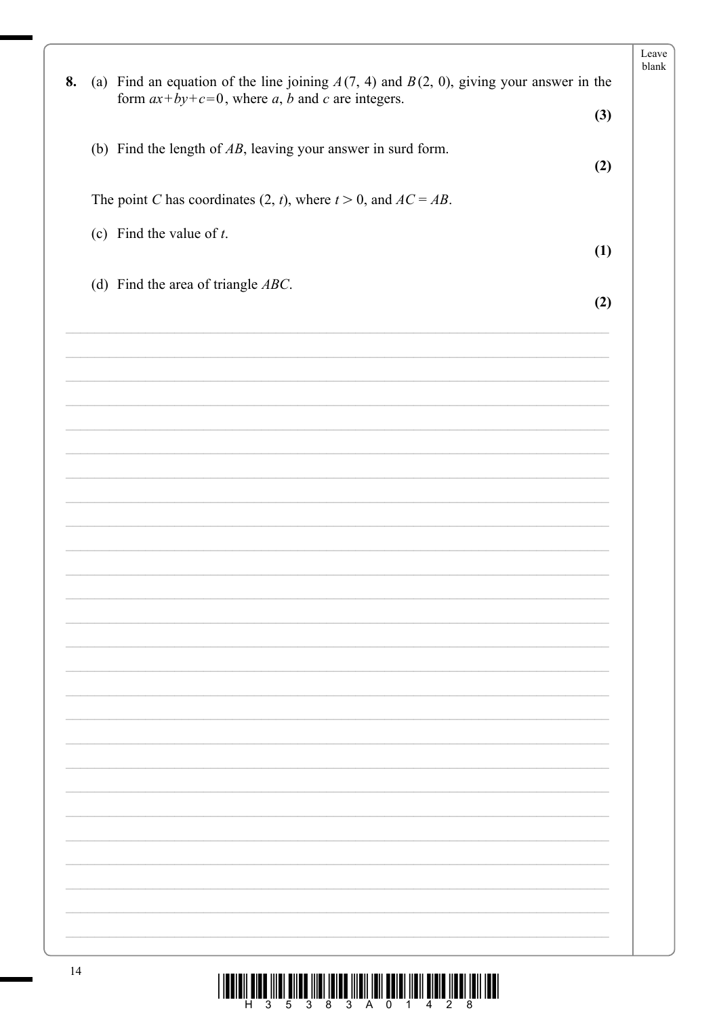|    |                                                                                                                                                   | Leave<br>blank |
|----|---------------------------------------------------------------------------------------------------------------------------------------------------|----------------|
| 8. | (a) Find an equation of the line joining $A(7, 4)$ and $B(2, 0)$ , giving your answer in the<br>form $ax+by+c=0$ , where a, b and c are integers. |                |
|    |                                                                                                                                                   | (3)            |
|    | (b) Find the length of $AB$ , leaving your answer in surd form.                                                                                   |                |
|    |                                                                                                                                                   | (2)            |
|    | The point C has coordinates (2, t), where $t > 0$ , and $AC = AB$ .                                                                               |                |
|    | (c) Find the value of $t$ .                                                                                                                       |                |
|    |                                                                                                                                                   | (1)            |
|    | (d) Find the area of triangle $ABC$ .                                                                                                             |                |
|    |                                                                                                                                                   | (2)            |
|    |                                                                                                                                                   |                |
|    |                                                                                                                                                   |                |
|    |                                                                                                                                                   |                |
|    |                                                                                                                                                   |                |
|    |                                                                                                                                                   |                |
|    |                                                                                                                                                   |                |
|    |                                                                                                                                                   |                |
|    |                                                                                                                                                   |                |
|    |                                                                                                                                                   |                |
|    |                                                                                                                                                   |                |
|    |                                                                                                                                                   |                |
|    |                                                                                                                                                   |                |
|    |                                                                                                                                                   |                |
|    |                                                                                                                                                   |                |
|    |                                                                                                                                                   |                |
|    |                                                                                                                                                   |                |
|    |                                                                                                                                                   |                |
|    |                                                                                                                                                   |                |
|    |                                                                                                                                                   |                |
|    |                                                                                                                                                   |                |
|    |                                                                                                                                                   |                |
|    |                                                                                                                                                   |                |
|    |                                                                                                                                                   |                |
|    |                                                                                                                                                   |                |
|    |                                                                                                                                                   |                |
|    |                                                                                                                                                   |                |

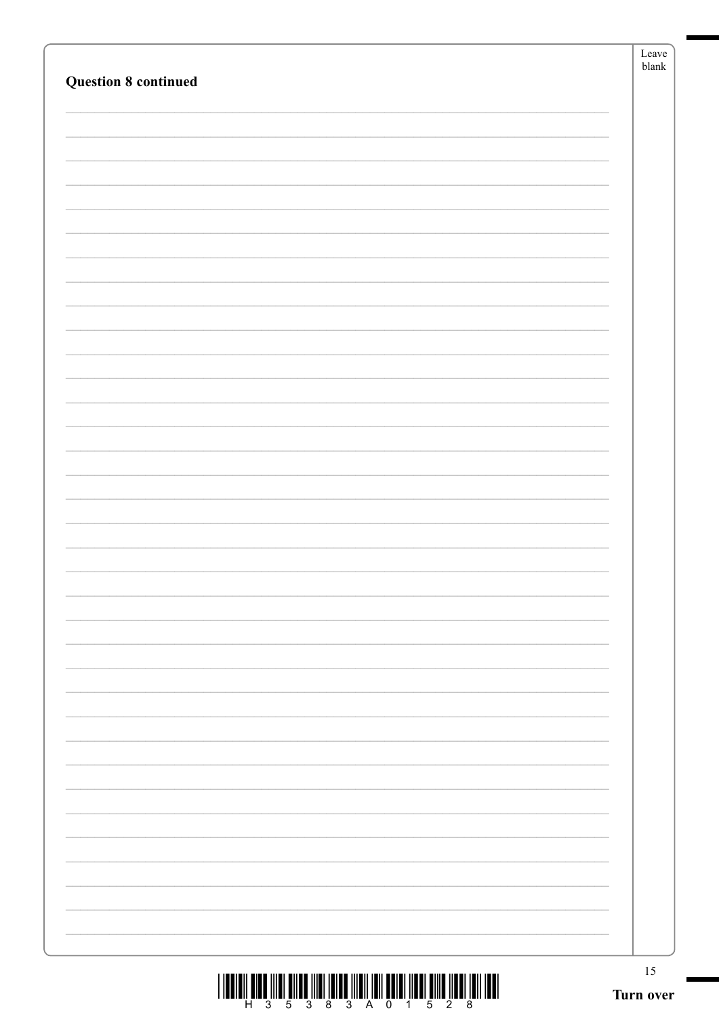| <b>Question 8 continued</b>                                                                                     | Leave<br>${\sf blank}$ |
|-----------------------------------------------------------------------------------------------------------------|------------------------|
|                                                                                                                 |                        |
|                                                                                                                 |                        |
|                                                                                                                 |                        |
|                                                                                                                 |                        |
|                                                                                                                 |                        |
|                                                                                                                 |                        |
|                                                                                                                 |                        |
|                                                                                                                 |                        |
|                                                                                                                 |                        |
|                                                                                                                 |                        |
|                                                                                                                 |                        |
|                                                                                                                 |                        |
|                                                                                                                 |                        |
|                                                                                                                 |                        |
|                                                                                                                 |                        |
|                                                                                                                 |                        |
|                                                                                                                 |                        |
|                                                                                                                 |                        |
|                                                                                                                 |                        |
|                                                                                                                 |                        |
|                                                                                                                 |                        |
|                                                                                                                 |                        |
|                                                                                                                 |                        |
|                                                                                                                 |                        |
|                                                                                                                 |                        |
|                                                                                                                 |                        |
|                                                                                                                 |                        |
|                                                                                                                 |                        |
|                                                                                                                 |                        |
|                                                                                                                 |                        |
|                                                                                                                 |                        |
| THE THE THE REPORT OF THE REPORT OF THE REPORT OF THE REPORT OF THE REPORT OF THE THE REPORT OF THE REPORT OF T | $15\,$                 |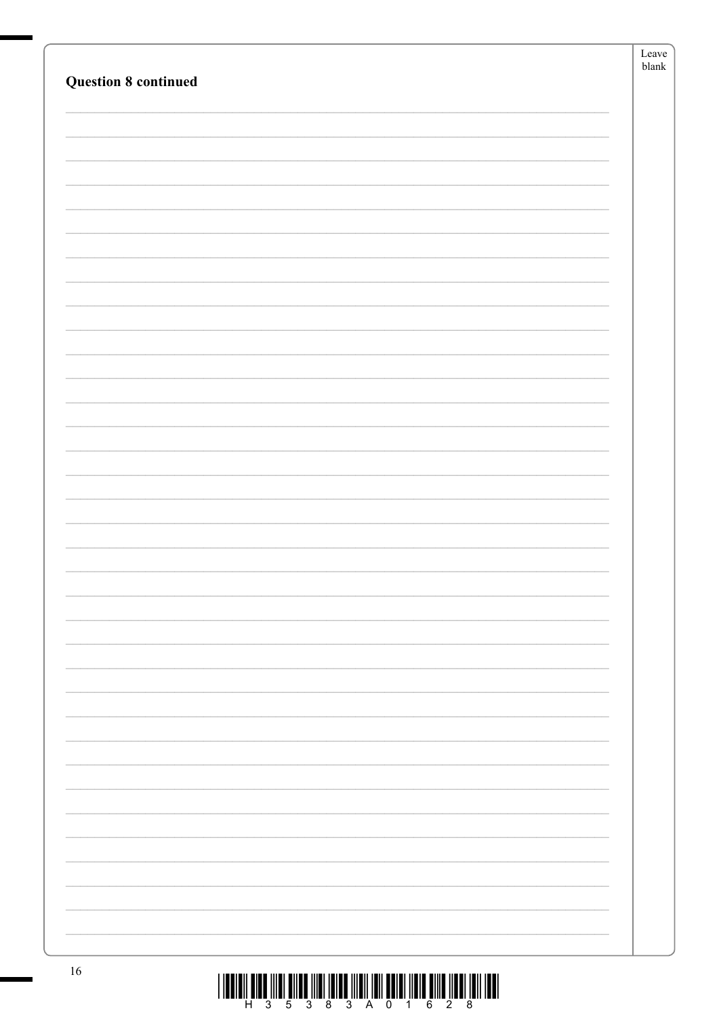| <b>Question 8 continued</b> | Leave<br>blank |
|-----------------------------|----------------|
|                             |                |
|                             |                |
|                             |                |
|                             |                |
|                             |                |
|                             |                |
|                             |                |
|                             |                |
|                             |                |
|                             |                |
|                             |                |
|                             |                |
|                             |                |
|                             |                |
|                             |                |
|                             |                |
|                             |                |
|                             |                |
|                             |                |
|                             |                |
|                             |                |
|                             |                |
|                             |                |
|                             |                |
|                             |                |
|                             |                |
|                             |                |
|                             |                |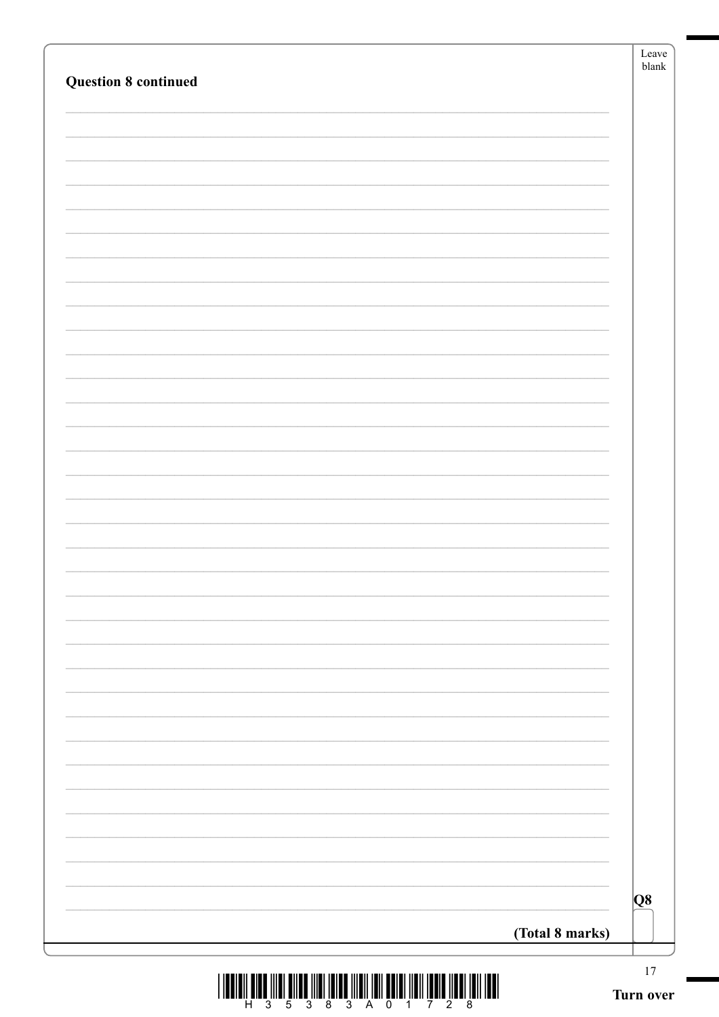| <b>Question 8 continued</b> |                 | Leave<br>${\sf blank}$ |
|-----------------------------|-----------------|------------------------|
|                             |                 |                        |
|                             |                 |                        |
|                             |                 |                        |
|                             |                 |                        |
|                             |                 |                        |
|                             |                 |                        |
|                             |                 |                        |
|                             |                 |                        |
|                             |                 |                        |
|                             |                 |                        |
|                             |                 |                        |
|                             |                 |                        |
|                             |                 |                        |
|                             |                 |                        |
|                             |                 |                        |
|                             |                 |                        |
|                             |                 |                        |
|                             |                 |                        |
|                             |                 |                        |
|                             |                 |                        |
|                             |                 |                        |
|                             |                 |                        |
|                             |                 |                        |
|                             |                 |                        |
|                             |                 |                        |
|                             |                 |                        |
|                             |                 |                        |
|                             |                 |                        |
|                             |                 |                        |
|                             |                 |                        |
|                             |                 |                        |
|                             |                 | Q <sub>8</sub>         |
|                             | (Total 8 marks) |                        |
|                             |                 |                        |

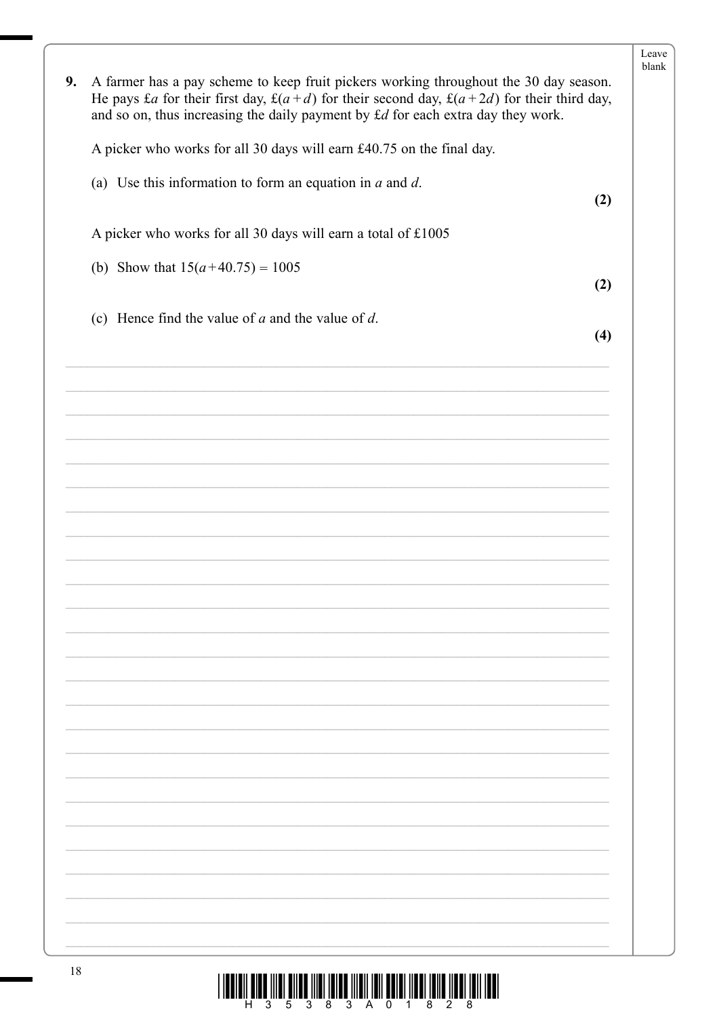| 9. | A farmer has a pay scheme to keep fruit pickers working throughout the 30 day season.<br>He pays £a for their first day, £(a+d) for their second day, £(a+2d) for their third day,<br>and so on, thus increasing the daily payment by £d for each extra day they work. | Leave<br>blank |
|----|------------------------------------------------------------------------------------------------------------------------------------------------------------------------------------------------------------------------------------------------------------------------|----------------|
|    | A picker who works for all 30 days will earn £40.75 on the final day.                                                                                                                                                                                                  |                |
|    | (a) Use this information to form an equation in $a$ and $d$ .<br>(2)                                                                                                                                                                                                   |                |
|    | A picker who works for all 30 days will earn a total of £1005                                                                                                                                                                                                          |                |
|    | (b) Show that $15(a+40.75) = 1005$<br>(2)                                                                                                                                                                                                                              |                |
|    | (c) Hence find the value of $a$ and the value of $d$ .<br>(4)                                                                                                                                                                                                          |                |
|    |                                                                                                                                                                                                                                                                        |                |
|    |                                                                                                                                                                                                                                                                        |                |
|    |                                                                                                                                                                                                                                                                        |                |
|    |                                                                                                                                                                                                                                                                        |                |
|    |                                                                                                                                                                                                                                                                        |                |
|    |                                                                                                                                                                                                                                                                        |                |
|    |                                                                                                                                                                                                                                                                        |                |
|    |                                                                                                                                                                                                                                                                        |                |
|    |                                                                                                                                                                                                                                                                        |                |
|    |                                                                                                                                                                                                                                                                        |                |
|    |                                                                                                                                                                                                                                                                        |                |
|    |                                                                                                                                                                                                                                                                        |                |
|    |                                                                                                                                                                                                                                                                        |                |

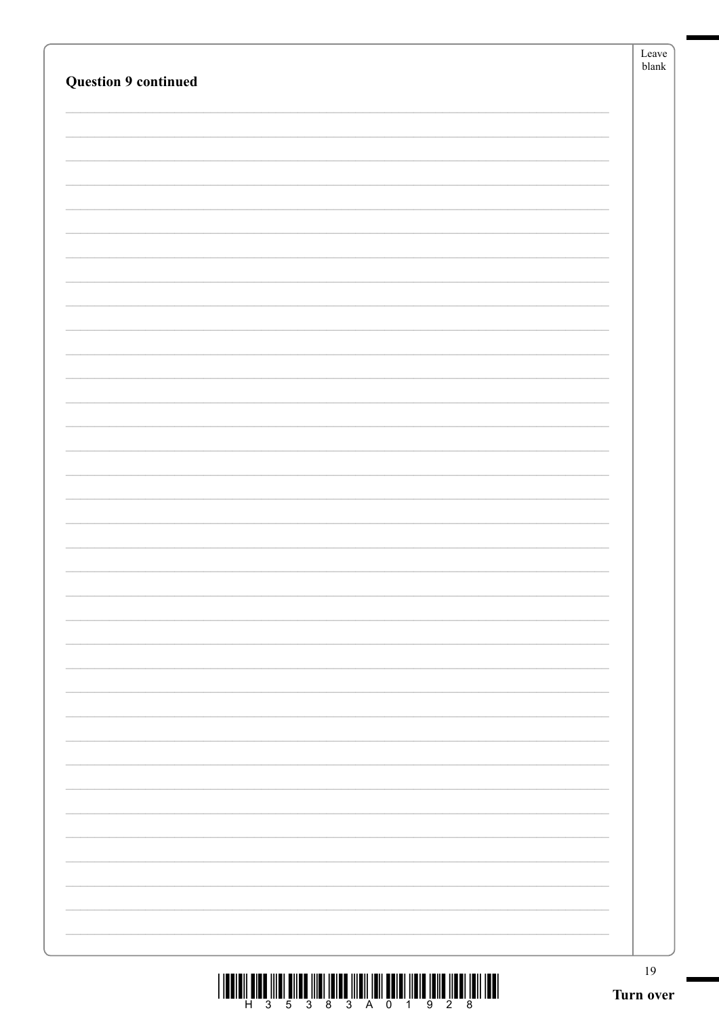| <b>Question 9 continued</b> |  |
|-----------------------------|--|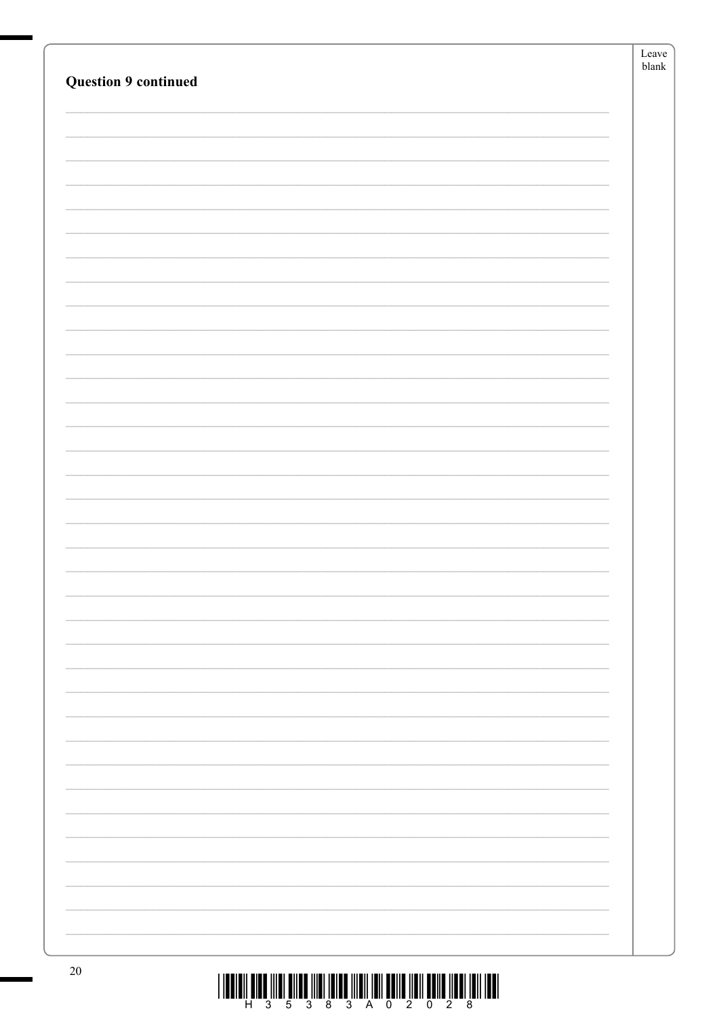| <b>Question 9 continued</b> | Leave<br>blank |
|-----------------------------|----------------|
|                             |                |
|                             |                |
|                             |                |
|                             |                |
|                             |                |
|                             |                |
|                             |                |
|                             |                |
|                             |                |
|                             |                |
|                             |                |
|                             |                |
|                             |                |
|                             |                |
|                             |                |
|                             |                |
|                             |                |
|                             |                |
|                             |                |
|                             |                |
|                             |                |
|                             |                |
|                             |                |
|                             |                |
|                             |                |
|                             |                |
|                             |                |
|                             |                |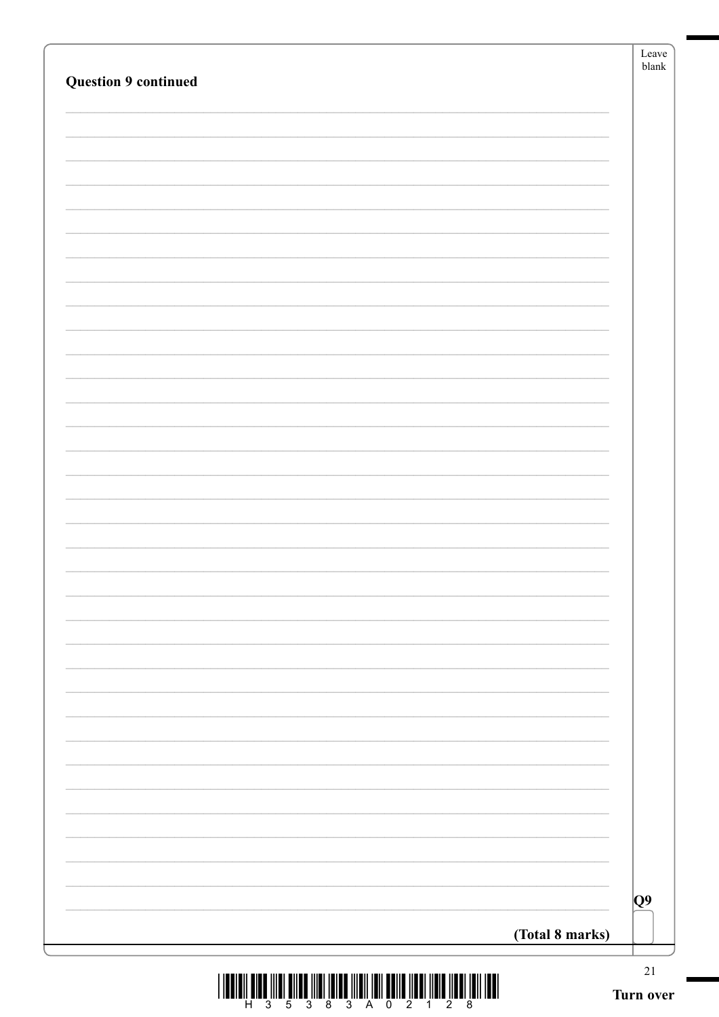|                             | Leave<br>blank  |
|-----------------------------|-----------------|
| <b>Question 9 continued</b> |                 |
|                             |                 |
|                             |                 |
|                             |                 |
|                             |                 |
|                             |                 |
|                             |                 |
|                             |                 |
|                             |                 |
|                             |                 |
|                             |                 |
|                             |                 |
|                             |                 |
|                             |                 |
|                             |                 |
|                             |                 |
|                             |                 |
|                             |                 |
|                             |                 |
|                             |                 |
|                             |                 |
|                             |                 |
|                             |                 |
|                             |                 |
|                             |                 |
|                             |                 |
|                             |                 |
|                             |                 |
|                             |                 |
|                             | $\overline{Q}9$ |
| (Total 8 marks)             |                 |
|                             | $21\,$          |

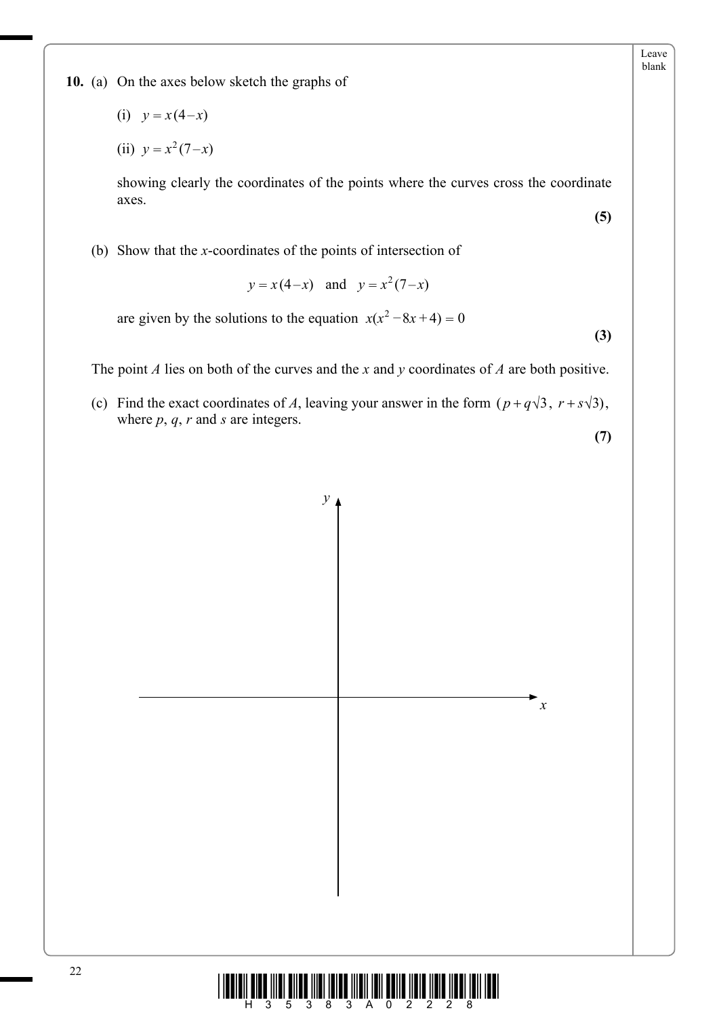**10.** (a) On the axes below sketch the graphs of

$$
(i) \quad y = x(4-x)
$$

(ii) 
$$
y = x^2(7-x)
$$

 showing clearly the coordinates of the points where the curves cross the coordinate axes.

(b) Show that the *x*-coordinates of the points of intersection of

$$
y = x(4-x)
$$
 and  $y = x^2(7-x)$ 

are given by the solutions to the equation  $x(x^2 - 8x + 4) = 0$ 

**(3)**

**(5)**

Leave blank

The point *A* lies on both of the curves and the *x* and *y* coordinates of *A* are both positive.

(c) Find the exact coordinates of *A*, leaving your answer in the form  $(p+q\sqrt{3}, r+s\sqrt{3})$ , where *p*, *q*, *r* and *s* are integers.

**(7)**



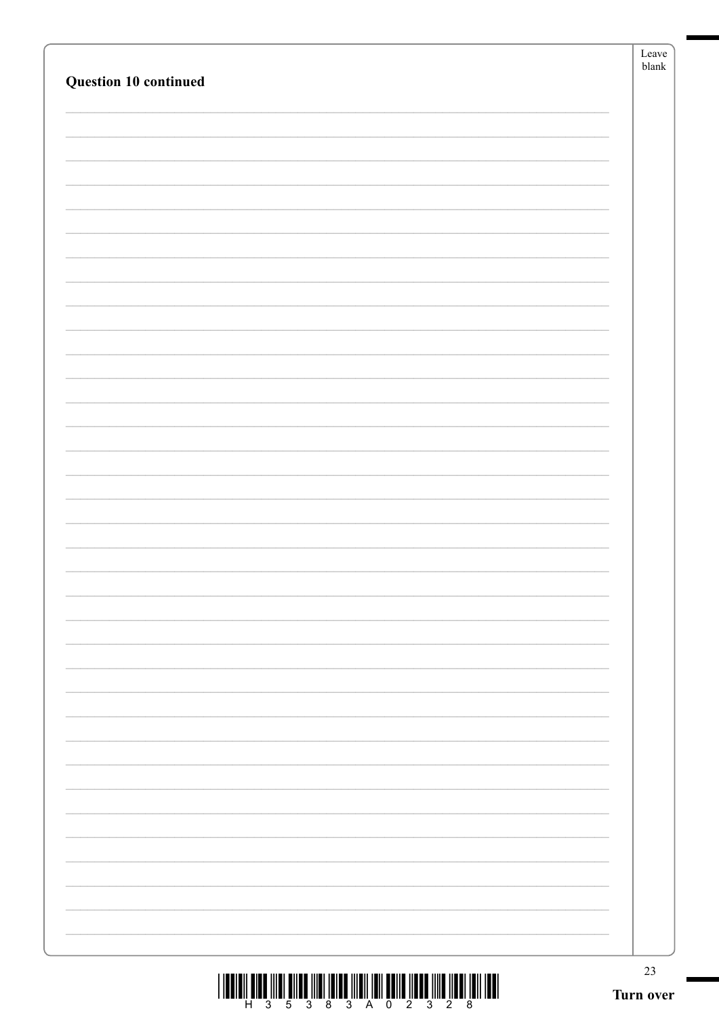| Question 10 continued                                                                                                                                                                                                                                                                                                                                                                                                             | Leave<br>${\sf blank}$ |
|-----------------------------------------------------------------------------------------------------------------------------------------------------------------------------------------------------------------------------------------------------------------------------------------------------------------------------------------------------------------------------------------------------------------------------------|------------------------|
|                                                                                                                                                                                                                                                                                                                                                                                                                                   |                        |
|                                                                                                                                                                                                                                                                                                                                                                                                                                   |                        |
|                                                                                                                                                                                                                                                                                                                                                                                                                                   |                        |
|                                                                                                                                                                                                                                                                                                                                                                                                                                   |                        |
|                                                                                                                                                                                                                                                                                                                                                                                                                                   |                        |
|                                                                                                                                                                                                                                                                                                                                                                                                                                   |                        |
|                                                                                                                                                                                                                                                                                                                                                                                                                                   |                        |
| $  \bm{\mathsf{H}}  \bm{\mathsf{H}}  \bm{\mathsf{H}}  \bm{\mathsf{H}}  \bm{\mathsf{H}}  \bm{\mathsf{H}}  \bm{\mathsf{H}}  \bm{\mathsf{H}}  \bm{\mathsf{H}}  \bm{\mathsf{H}}  \bm{\mathsf{H}}  \bm{\mathsf{H}}  \bm{\mathsf{H}}  \bm{\mathsf{H}}  \bm{\mathsf{H}}  \bm{\mathsf{H}}  \bm{\mathsf{H}}  \bm{\mathsf{H}}  \bm{\mathsf{H}}  \bm{\mathsf{H}}  \bm{\mathsf{H}}  \bm{\mathsf{H}}  \bm{\mathsf{H}}  \bm{\mathsf{H}}  \bm{\$ | 23<br>Turn over        |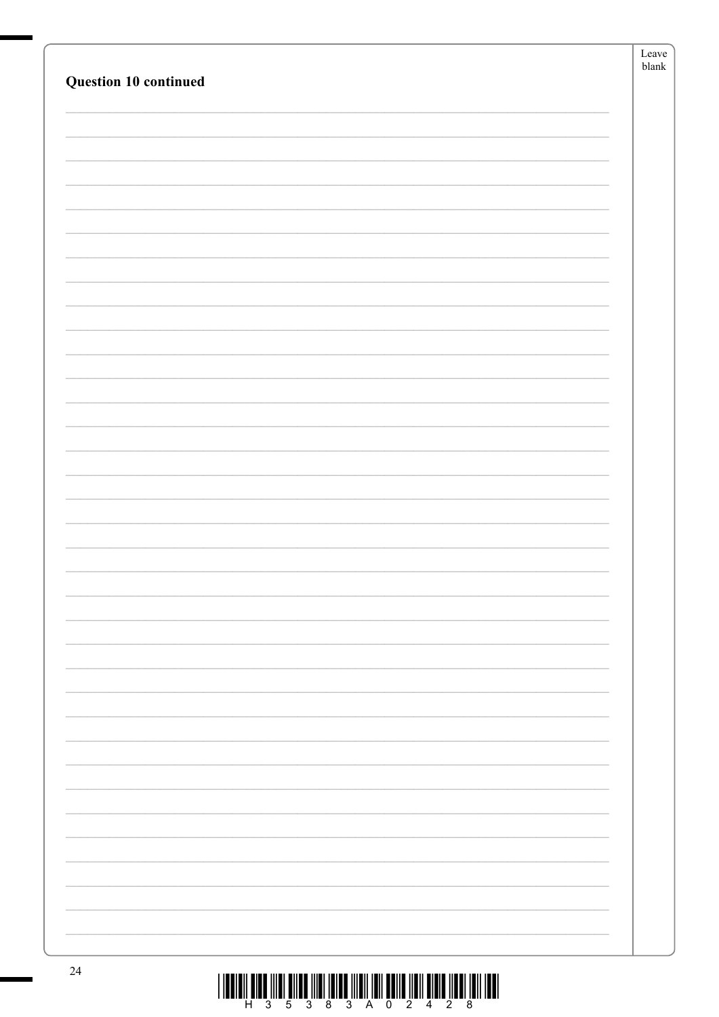|                       | Leave         |
|-----------------------|---------------|
| Question 10 continued | ${\sf blank}$ |
|                       |               |
|                       |               |
|                       |               |
|                       |               |
|                       |               |
|                       |               |
|                       |               |
|                       |               |
|                       |               |
|                       |               |
|                       |               |
|                       |               |
|                       |               |
|                       |               |
|                       |               |
|                       |               |
|                       |               |
|                       |               |
|                       |               |
|                       |               |
|                       |               |
|                       |               |
|                       |               |
|                       |               |
|                       |               |
|                       |               |
|                       |               |
|                       |               |
|                       |               |
|                       |               |
|                       |               |
|                       |               |
|                       |               |
|                       |               |
|                       |               |
|                       |               |
|                       |               |
|                       |               |
| Ξ.                    |               |
|                       |               |
|                       |               |
|                       |               |
|                       |               |
| $2\pi$                |               |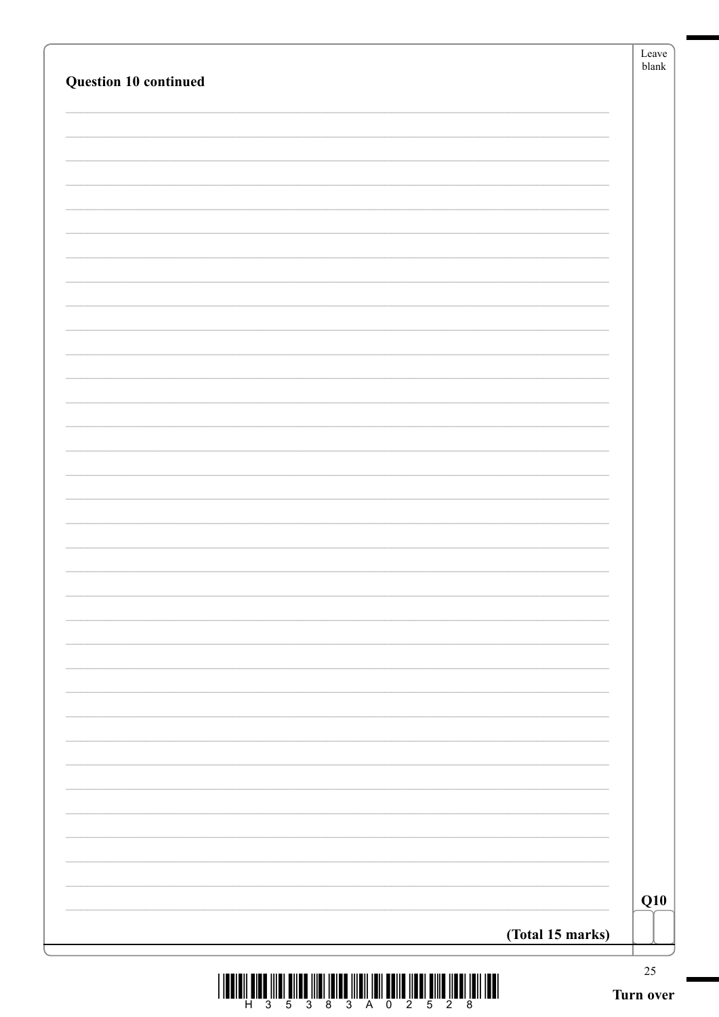| Question 10 continued | Leave<br>${\sf blank}$ |
|-----------------------|------------------------|
|                       |                        |
|                       |                        |
|                       |                        |
|                       |                        |
|                       |                        |
|                       |                        |
|                       |                        |
|                       |                        |
|                       |                        |
|                       |                        |
|                       |                        |
|                       |                        |
|                       |                        |
|                       |                        |
|                       |                        |
|                       |                        |
|                       |                        |
|                       |                        |
|                       |                        |
|                       |                        |
|                       |                        |
|                       |                        |
|                       |                        |
|                       |                        |
|                       |                        |
|                       |                        |
|                       |                        |
|                       |                        |
|                       |                        |
|                       |                        |
|                       |                        |
|                       |                        |
|                       |                        |
|                       |                        |
|                       | Q10                    |
| (Total 15 marks)      |                        |
|                       | $25\,$                 |

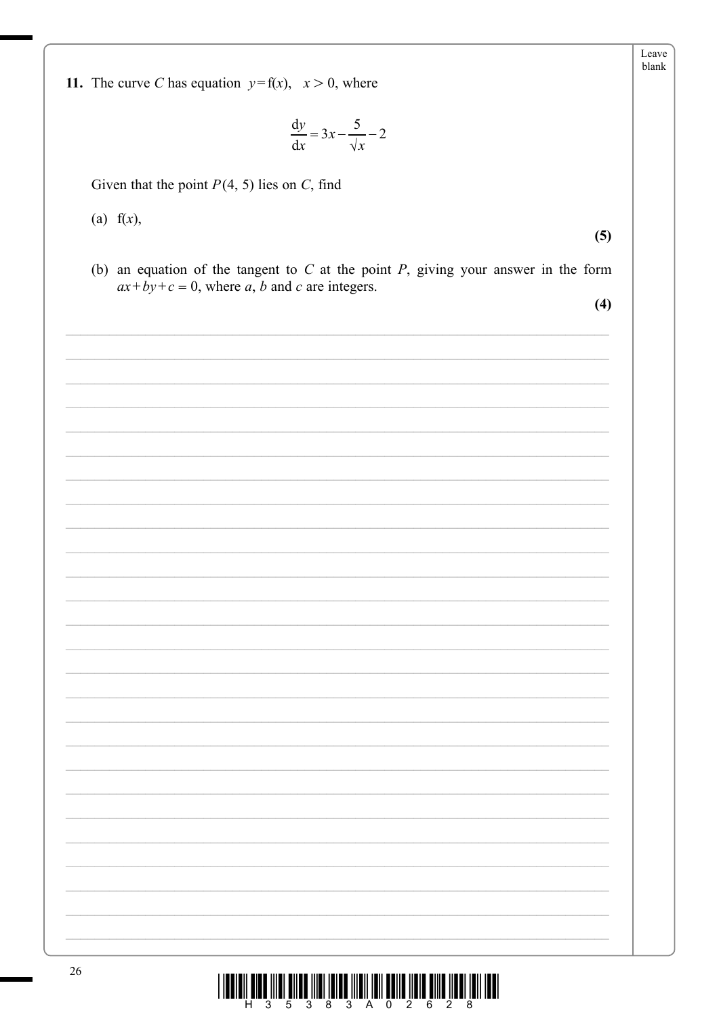$$
\frac{\mathrm{d}y}{\mathrm{d}x} = 3x - \frac{5}{\sqrt{x}} - 2
$$

Given that the point  $P(4, 5)$  lies on C, find

 $(a) f(x)$ ,

 $(5)$ 

Leave blank

(b) an equation of the tangent to  $C$  at the point  $P$ , giving your answer in the form  $ax+by+c=0$ , where a, b and c are integers.

 $(4)$ 

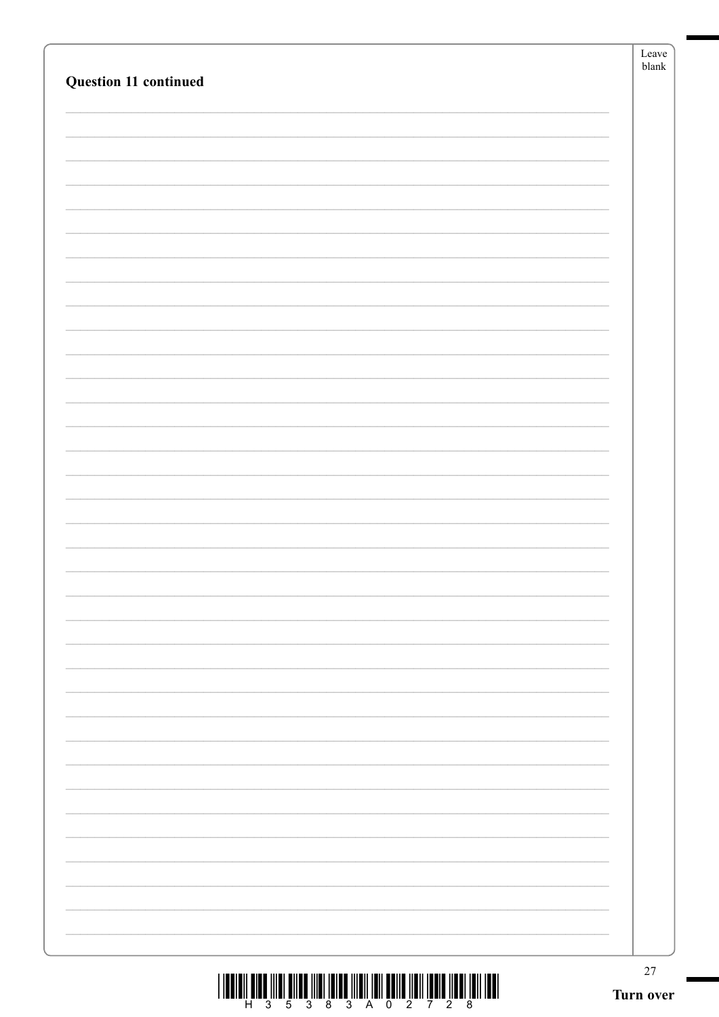|                                                                                    | ${\it Leave}$<br>${\sf blank}$ |
|------------------------------------------------------------------------------------|--------------------------------|
| Question 11 continued                                                              |                                |
|                                                                                    |                                |
|                                                                                    |                                |
|                                                                                    |                                |
|                                                                                    |                                |
|                                                                                    |                                |
|                                                                                    |                                |
|                                                                                    |                                |
|                                                                                    |                                |
|                                                                                    |                                |
|                                                                                    |                                |
|                                                                                    |                                |
|                                                                                    |                                |
|                                                                                    |                                |
|                                                                                    |                                |
|                                                                                    |                                |
|                                                                                    |                                |
|                                                                                    |                                |
|                                                                                    |                                |
|                                                                                    |                                |
|                                                                                    |                                |
|                                                                                    |                                |
|                                                                                    |                                |
|                                                                                    |                                |
|                                                                                    |                                |
|                                                                                    |                                |
|                                                                                    |                                |
|                                                                                    |                                |
|                                                                                    |                                |
|                                                                                    |                                |
|                                                                                    |                                |
|                                                                                    |                                |
|                                                                                    |                                |
|                                                                                    |                                |
| THE INCLUDED THE REAL BRACK OF THE REAL BRACK OF THE REAL BRACK OF THE REAL BRACK. | $27\,$                         |